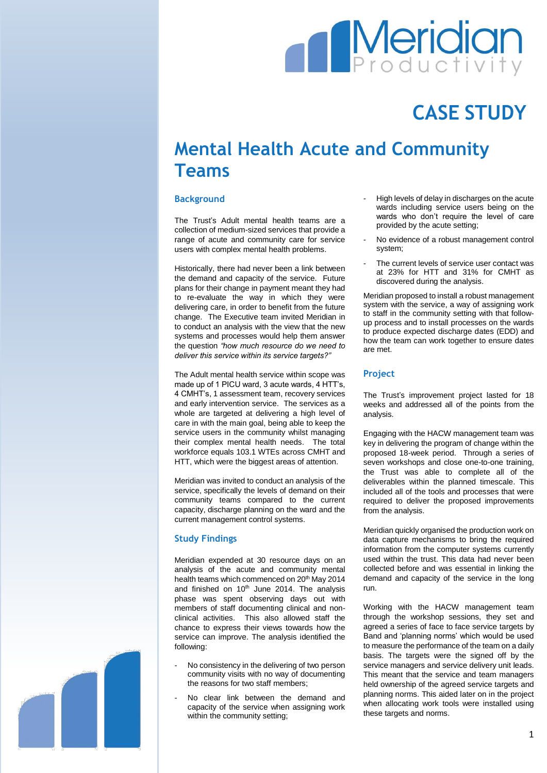# **Meridian**

## **CASE STUDY**

### **Mental Health Acute and Community Teams**

#### **Background**

The Trust's Adult mental health teams are a collection of medium-sized services that provide a range of acute and community care for service users with complex mental health problems.

Historically, there had never been a link between the demand and capacity of the service. Future plans for their change in payment meant they had to re-evaluate the way in which they were delivering care, in order to benefit from the future change. The Executive team invited Meridian in to conduct an analysis with the view that the new systems and processes would help them answer the question *"how much resource do we need to deliver this service within its service targets?"*

The Adult mental health service within scope was made up of 1 PICU ward, 3 acute wards, 4 HTT's, 4 CMHT's, 1 assessment team, recovery services and early intervention service. The services as a whole are targeted at delivering a high level of care in with the main goal, being able to keep the service users in the community whilst managing their complex mental health needs. The total workforce equals 103.1 WTEs across CMHT and HTT, which were the biggest areas of attention.

Meridian was invited to conduct an analysis of the service, specifically the levels of demand on their community teams compared to the current capacity, discharge planning on the ward and the current management control systems.

#### **Study Findings**

Meridian expended at 30 resource days on an analysis of the acute and community mental health teams which commenced on 20<sup>th</sup> May 2014 and finished on  $10<sup>th</sup>$  June 2014. The analysis phase was spent observing days out with members of staff documenting clinical and nonclinical activities. This also allowed staff the chance to express their views towards how the service can improve. The analysis identified the following:

- No consistency in the delivering of two person community visits with no way of documenting the reasons for two staff members;
- No clear link between the demand and capacity of the service when assigning work within the community setting;
- High levels of delay in discharges on the acute wards including service users being on the wards who don't require the level of care provided by the acute setting;
- No evidence of a robust management control system;
- The current levels of service user contact was at 23% for HTT and 31% for CMHT as discovered during the analysis.

Meridian proposed to install a robust management system with the service, a way of assigning work to staff in the community setting with that followup process and to install processes on the wards to produce expected discharge dates (EDD) and how the team can work together to ensure dates are met.

#### **Project**

The Trust's improvement project lasted for 18 weeks and addressed all of the points from the analysis.

Engaging with the HACW management team was key in delivering the program of change within the proposed 18-week period. Through a series of seven workshops and close one-to-one training, the Trust was able to complete all of the deliverables within the planned timescale. This included all of the tools and processes that were required to deliver the proposed improvements from the analysis.

Meridian quickly organised the production work on data capture mechanisms to bring the required information from the computer systems currently used within the trust. This data had never been collected before and was essential in linking the demand and capacity of the service in the long run.

Working with the HACW management team through the workshop sessions, they set and agreed a series of face to face service targets by Band and 'planning norms' which would be used to measure the performance of the team on a daily basis. The targets were the signed off by the service managers and service delivery unit leads. This meant that the service and team managers held ownership of the agreed service targets and planning norms. This aided later on in the project when allocating work tools were installed using these targets and norms.